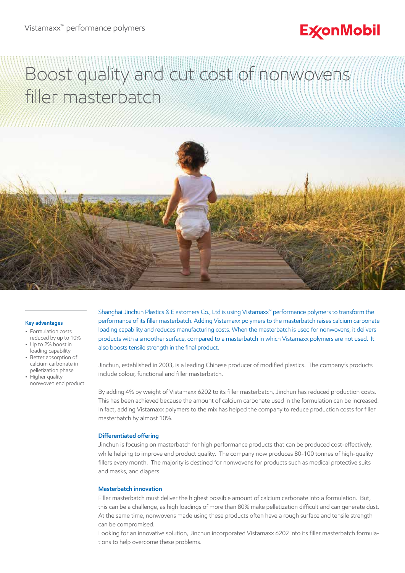# **ExconMobil**

# Boost quality and cut cost of nonwovens filler masterbatch



#### **Key advantages**

- • Formulation costs reduced by up to 10% • Up to 2% boost in
- loading capability • Better absorption of
- calcium carbonate in pelletization phase • Higher quality
- nonwoven end product

Shanghai Jinchun Plastics & Elastomers Co., Ltd is using Vistamaxx™ performance polymers to transform the performance of its filler masterbatch. Adding Vistamaxx polymers to the masterbatch raises calcium carbonate loading capability and reduces manufacturing costs. When the masterbatch is used for nonwovens, it delivers products with a smoother surface, compared to a masterbatch in which Vistamaxx polymers are not used. It also boosts tensile strength in the final product.

Jinchun, established in 2003, is a leading Chinese producer of modified plastics. The company's products include colour, functional and filler masterbatch.

By adding 4% by weight of Vistamaxx 6202 to its filler masterbatch, Jinchun has reduced production costs. This has been achieved because the amount of calcium carbonate used in the formulation can be increased. In fact, adding Vistamaxx polymers to the mix has helped the company to reduce production costs for filler masterbatch by almost 10%.

# **Differentiated offering**

Jinchun is focusing on masterbatch for high performance products that can be produced cost-effectively, while helping to improve end product quality. The company now produces 80-100 tonnes of high-quality fillers every month. The majority is destined for nonwovens for products such as medical protective suits and masks, and diapers.

# **Masterbatch innovation**

Filler masterbatch must deliver the highest possible amount of calcium carbonate into a formulation. But, this can be a challenge, as high loadings of more than 80% make pelletization difficult and can generate dust. At the same time, nonwovens made using these products often have a rough surface and tensile strength can be compromised.

Looking for an innovative solution, Jinchun incorporated Vistamaxx 6202 into its filler masterbatch formulations to help overcome these problems.